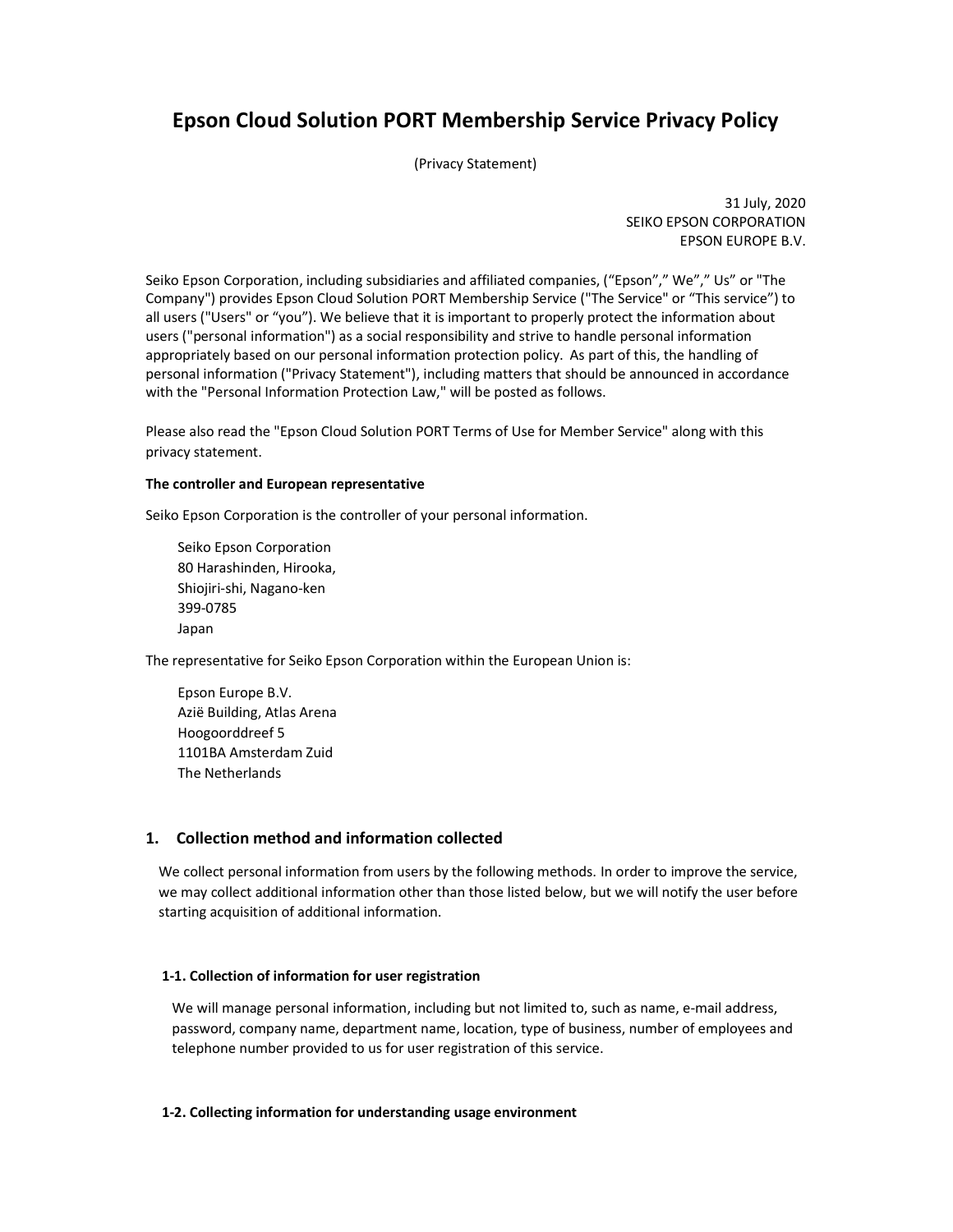# Epson Cloud Solution PORT Membership Service Privacy Policy

(Privacy Statement)

31 July, 2020 SEIKO EPSON CORPORATION EPSON EUROPE B.V.

Seiko Epson Corporation, including subsidiaries and affiliated companies, ("Epson"," We"," Us" or "The Company") provides Epson Cloud Solution PORT Membership Service ("The Service" or "This service") to all users ("Users" or "you"). We believe that it is important to properly protect the information about users ("personal information") as a social responsibility and strive to handle personal information appropriately based on our personal information protection policy. As part of this, the handling of personal information ("Privacy Statement"), including matters that should be announced in accordance with the "Personal Information Protection Law," will be posted as follows.

Please also read the "Epson Cloud Solution PORT Terms of Use for Member Service" along with this privacy statement.

#### The controller and European representative

Seiko Epson Corporation is the controller of your personal information.

Seiko Epson Corporation 80 Harashinden, Hirooka, Shiojiri-shi, Nagano-ken 399-0785 Japan

The representative for Seiko Epson Corporation within the European Union is:

Epson Europe B.V. Azië Building, Atlas Arena Hoogoorddreef 5 1101BA Amsterdam Zuid The Netherlands

# 1. Collection method and information collected

We collect personal information from users by the following methods. In order to improve the service, we may collect additional information other than those listed below, but we will notify the user before starting acquisition of additional information.

# 1-1. Collection of information for user registration

We will manage personal information, including but not limited to, such as name, e-mail address, password, company name, department name, location, type of business, number of employees and telephone number provided to us for user registration of this service.

# 1-2. Collecting information for understanding usage environment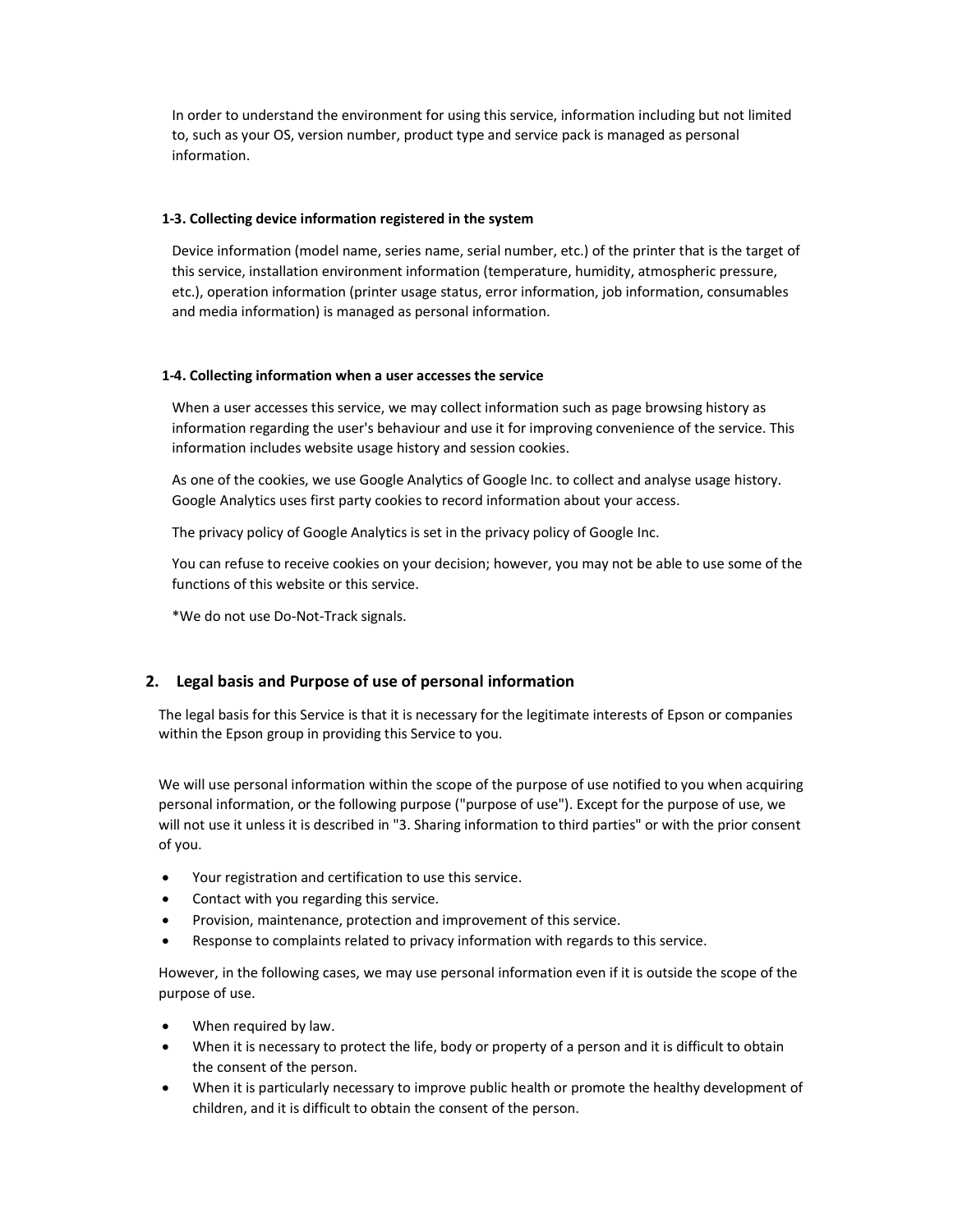In order to understand the environment for using this service, information including but not limited to, such as your OS, version number, product type and service pack is managed as personal information.

#### 1-3. Collecting device information registered in the system

Device information (model name, series name, serial number, etc.) of the printer that is the target of this service, installation environment information (temperature, humidity, atmospheric pressure, etc.), operation information (printer usage status, error information, job information, consumables and media information) is managed as personal information.

#### 1-4. Collecting information when a user accesses the service

When a user accesses this service, we may collect information such as page browsing history as information regarding the user's behaviour and use it for improving convenience of the service. This information includes website usage history and session cookies.

As one of the cookies, we use Google Analytics of Google Inc. to collect and analyse usage history. Google Analytics uses first party cookies to record information about your access.

The privacy policy of Google Analytics is set in the privacy policy of Google Inc.

You can refuse to receive cookies on your decision; however, you may not be able to use some of the functions of this website or this service.

\*We do not use Do-Not-Track signals.

# 2. Legal basis and Purpose of use of personal information

The legal basis for this Service is that it is necessary for the legitimate interests of Epson or companies within the Epson group in providing this Service to you.

We will use personal information within the scope of the purpose of use notified to you when acquiring personal information, or the following purpose ("purpose of use"). Except for the purpose of use, we will not use it unless it is described in "3. Sharing information to third parties" or with the prior consent of you.

- Your registration and certification to use this service.
- Contact with you regarding this service.
- Provision, maintenance, protection and improvement of this service.
- Response to complaints related to privacy information with regards to this service.

However, in the following cases, we may use personal information even if it is outside the scope of the purpose of use.

- When required by law.
- When it is necessary to protect the life, body or property of a person and it is difficult to obtain the consent of the person.
- When it is particularly necessary to improve public health or promote the healthy development of children, and it is difficult to obtain the consent of the person.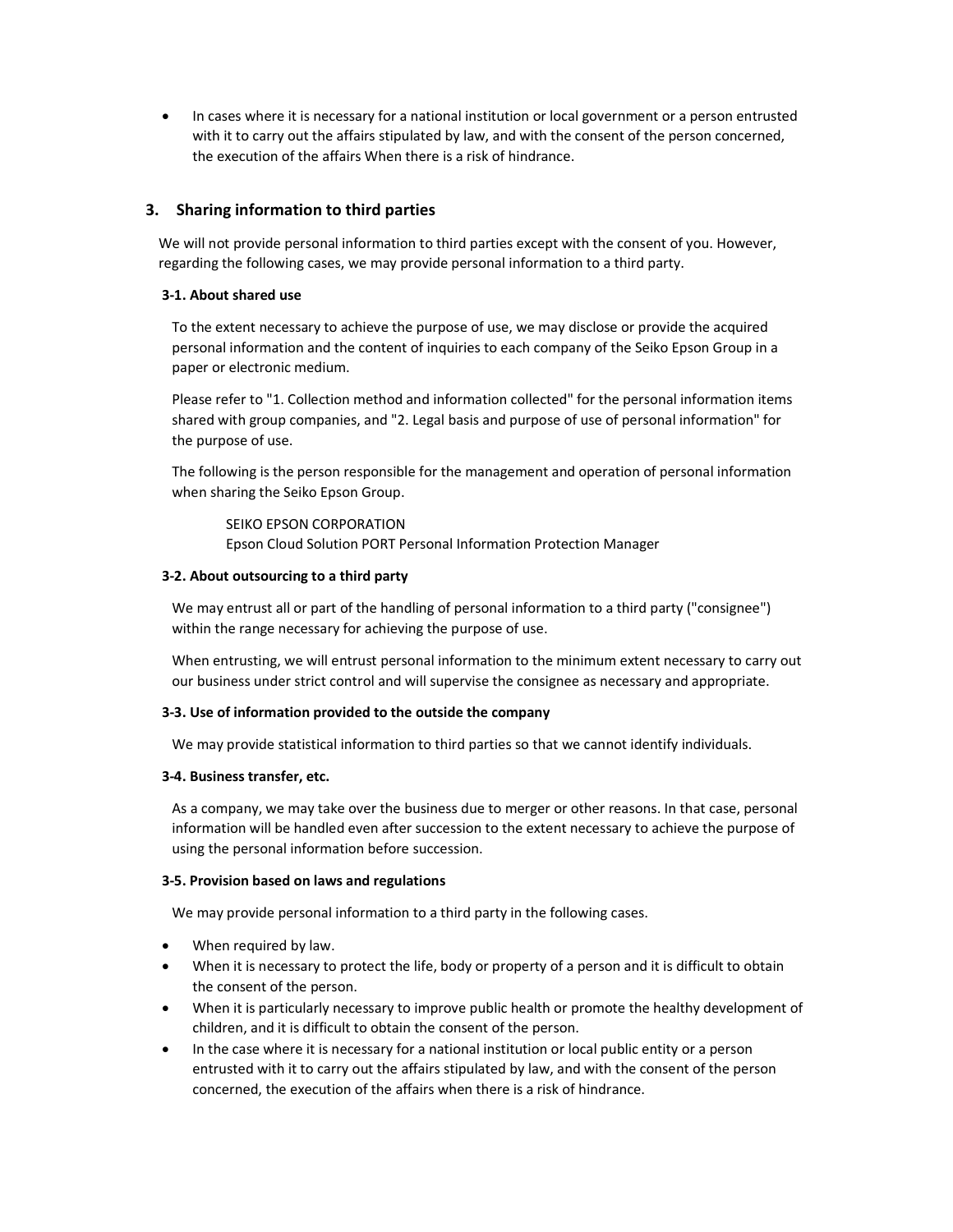In cases where it is necessary for a national institution or local government or a person entrusted with it to carry out the affairs stipulated by law, and with the consent of the person concerned, the execution of the affairs When there is a risk of hindrance.

# 3. Sharing information to third parties

We will not provide personal information to third parties except with the consent of you. However, regarding the following cases, we may provide personal information to a third party.

#### 3-1. About shared use

To the extent necessary to achieve the purpose of use, we may disclose or provide the acquired personal information and the content of inquiries to each company of the Seiko Epson Group in a paper or electronic medium.

Please refer to "1. Collection method and information collected" for the personal information items shared with group companies, and "2. Legal basis and purpose of use of personal information" for the purpose of use.

The following is the person responsible for the management and operation of personal information when sharing the Seiko Epson Group.

SEIKO EPSON CORPORATION Epson Cloud Solution PORT Personal Information Protection Manager

#### 3-2. About outsourcing to a third party

We may entrust all or part of the handling of personal information to a third party ("consignee") within the range necessary for achieving the purpose of use.

When entrusting, we will entrust personal information to the minimum extent necessary to carry out our business under strict control and will supervise the consignee as necessary and appropriate.

#### 3-3. Use of information provided to the outside the company

We may provide statistical information to third parties so that we cannot identify individuals.

#### 3-4. Business transfer, etc.

As a company, we may take over the business due to merger or other reasons. In that case, personal information will be handled even after succession to the extent necessary to achieve the purpose of using the personal information before succession.

#### 3-5. Provision based on laws and regulations

We may provide personal information to a third party in the following cases.

- When required by law.
- When it is necessary to protect the life, body or property of a person and it is difficult to obtain the consent of the person.
- When it is particularly necessary to improve public health or promote the healthy development of children, and it is difficult to obtain the consent of the person.
- In the case where it is necessary for a national institution or local public entity or a person entrusted with it to carry out the affairs stipulated by law, and with the consent of the person concerned, the execution of the affairs when there is a risk of hindrance.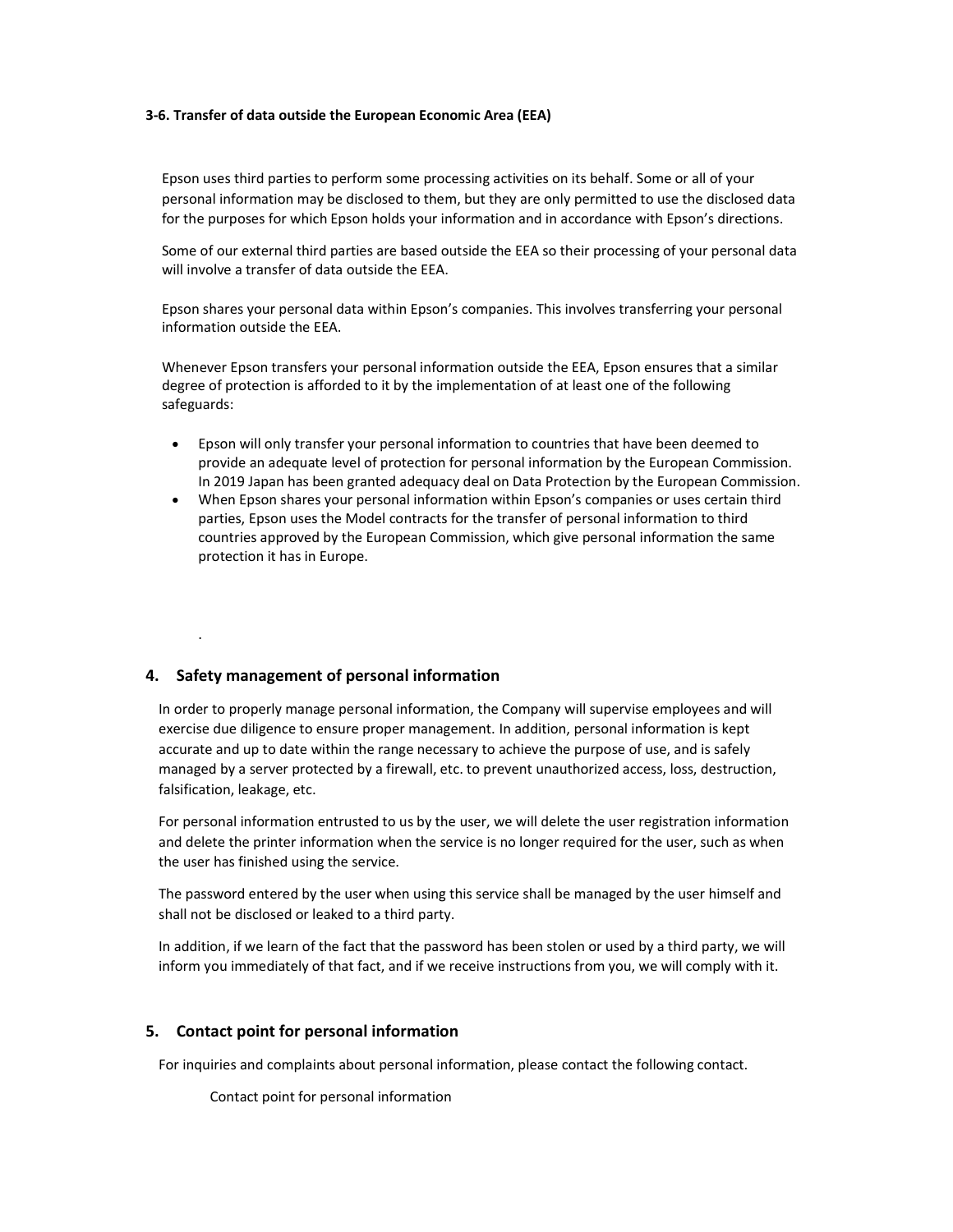#### 3-6. Transfer of data outside the European Economic Area (EEA)

Epson uses third parties to perform some processing activities on its behalf. Some or all of your personal information may be disclosed to them, but they are only permitted to use the disclosed data for the purposes for which Epson holds your information and in accordance with Epson's directions.

Some of our external third parties are based outside the EEA so their processing of your personal data will involve a transfer of data outside the EEA.

Epson shares your personal data within Epson's companies. This involves transferring your personal information outside the EEA.

Whenever Epson transfers your personal information outside the EEA, Epson ensures that a similar degree of protection is afforded to it by the implementation of at least one of the following safeguards:

- Epson will only transfer your personal information to countries that have been deemed to provide an adequate level of protection for personal information by the European Commission. In 2019 Japan has been granted adequacy deal on Data Protection by the European Commission.
- When Epson shares your personal information within Epson's companies or uses certain third parties, Epson uses the Model contracts for the transfer of personal information to third countries approved by the European Commission, which give personal information the same protection it has in Europe.

# 4. Safety management of personal information

.

In order to properly manage personal information, the Company will supervise employees and will exercise due diligence to ensure proper management. In addition, personal information is kept accurate and up to date within the range necessary to achieve the purpose of use, and is safely managed by a server protected by a firewall, etc. to prevent unauthorized access, loss, destruction, falsification, leakage, etc.

For personal information entrusted to us by the user, we will delete the user registration information and delete the printer information when the service is no longer required for the user, such as when the user has finished using the service.

The password entered by the user when using this service shall be managed by the user himself and shall not be disclosed or leaked to a third party.

In addition, if we learn of the fact that the password has been stolen or used by a third party, we will inform you immediately of that fact, and if we receive instructions from you, we will comply with it.

#### 5. Contact point for personal information

For inquiries and complaints about personal information, please contact the following contact.

Contact point for personal information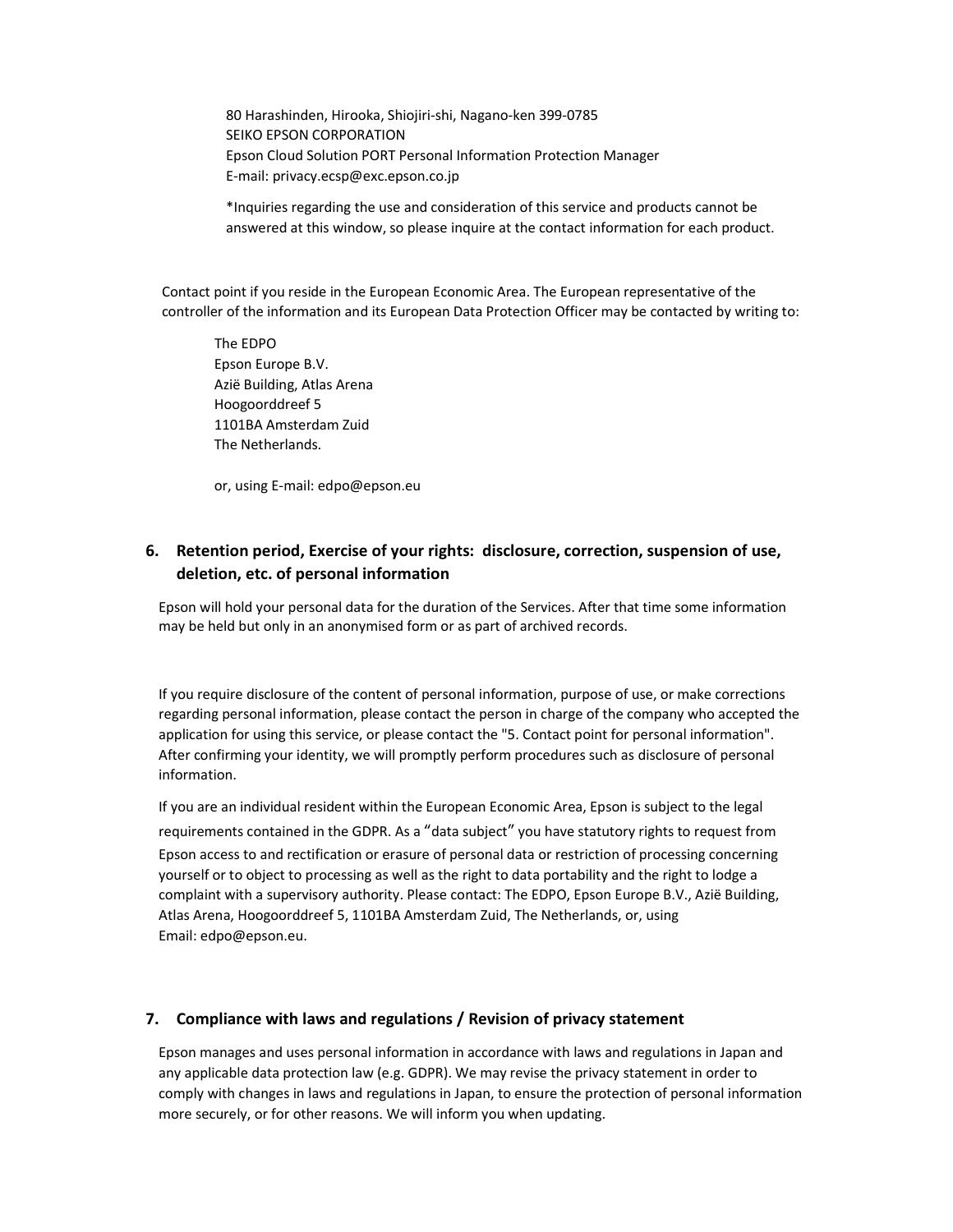80 Harashinden, Hirooka, Shiojiri-shi, Nagano-ken 399-0785 SEIKO EPSON CORPORATION Epson Cloud Solution PORT Personal Information Protection Manager E-mail: privacy.ecsp@exc.epson.co.jp

\*Inquiries regarding the use and consideration of this service and products cannot be answered at this window, so please inquire at the contact information for each product.

Contact point if you reside in the European Economic Area. The European representative of the controller of the information and its European Data Protection Officer may be contacted by writing to:

The EDPO Epson Europe B.V. Azië Building, Atlas Arena Hoogoorddreef 5 1101BA Amsterdam Zuid The Netherlands.

or, using E-mail: edpo@epson.eu

# 6. Retention period, Exercise of your rights: disclosure, correction, suspension of use, deletion, etc. of personal information

Epson will hold your personal data for the duration of the Services. After that time some information may be held but only in an anonymised form or as part of archived records.

If you require disclosure of the content of personal information, purpose of use, or make corrections regarding personal information, please contact the person in charge of the company who accepted the application for using this service, or please contact the "5. Contact point for personal information". After confirming your identity, we will promptly perform procedures such as disclosure of personal information.

If you are an individual resident within the European Economic Area, Epson is subject to the legal requirements contained in the GDPR. As a "data subject" you have statutory rights to request from Epson access to and rectification or erasure of personal data or restriction of processing concerning yourself or to object to processing as well as the right to data portability and the right to lodge a complaint with a supervisory authority. Please contact: The EDPO, Epson Europe B.V., Azië Building, Atlas Arena, Hoogoorddreef 5, 1101BA Amsterdam Zuid, The Netherlands, or, using Email: edpo@epson.eu.

# 7. Compliance with laws and regulations / Revision of privacy statement

Epson manages and uses personal information in accordance with laws and regulations in Japan and any applicable data protection law (e.g. GDPR). We may revise the privacy statement in order to comply with changes in laws and regulations in Japan, to ensure the protection of personal information more securely, or for other reasons. We will inform you when updating.